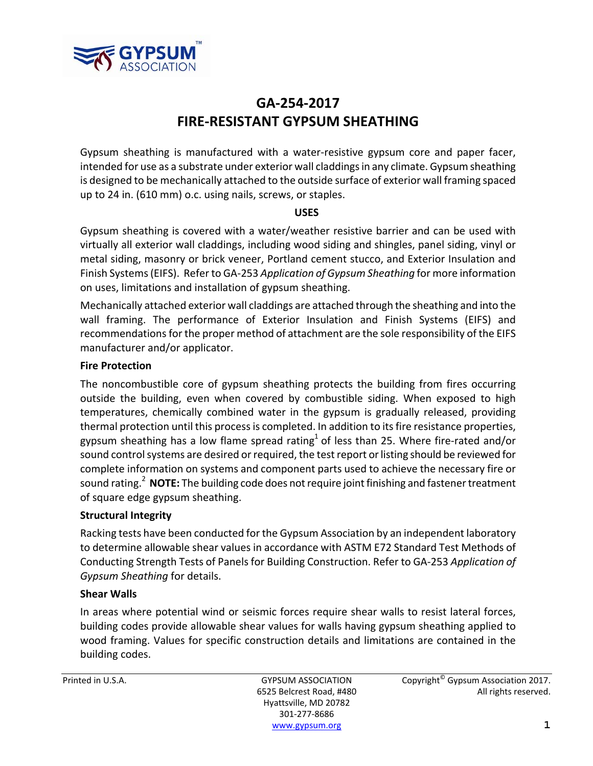

# **GA‐254‐2017 FIRE‐RESISTANT GYPSUM SHEATHING**

Gypsum sheathing is manufactured with a water‐resistive gypsum core and paper facer, intended for use as a substrate under exterior wall claddingsin any climate.Gypsum sheathing is designed to be mechanically attached to the outside surface of exterior wall framing spaced up to 24 in. (610 mm) o.c. using nails, screws, or staples.

## **USES**

Gypsum sheathing is covered with a water/weather resistive barrier and can be used with virtually all exterior wall claddings, including wood siding and shingles, panel siding, vinyl or metal siding, masonry or brick veneer, Portland cement stucco, and Exterior Insulation and Finish Systems(EIFS). Refer to GA‐253 *Application of Gypsum Sheathing* for more information on uses, limitations and installation of gypsum sheathing.

Mechanically attached exterior wall claddings are attached through the sheathing and into the wall framing. The performance of Exterior Insulation and Finish Systems (EIFS) and recommendations for the proper method of attachment are the sole responsibility of the EIFS manufacturer and/or applicator.

### **Fire Protection**

The noncombustible core of gypsum sheathing protects the building from fires occurring outside the building, even when covered by combustible siding. When exposed to high temperatures, chemically combined water in the gypsum is gradually released, providing thermal protection until this processis completed. In addition to itsfire resistance properties, gypsum sheathing has a low flame spread rating<sup>1</sup> of less than 25. Where fire-rated and/or sound control systems are desired or required, the test report or listing should be reviewed for complete information on systems and component parts used to achieve the necessary fire or sound rating.<sup>2</sup> NOTE: The building code does not require joint finishing and fastener treatment of square edge gypsum sheathing.

## **Structural Integrity**

Racking tests have been conducted for the Gypsum Association by an independent laboratory to determine allowable shear values in accordance with ASTM E72 Standard Test Methods of Conducting Strength Tests of Panels for Building Construction. Refer to GA‐253 *Application of Gypsum Sheathing* for details.

#### **Shear Walls**

In areas where potential wind or seismic forces require shear walls to resist lateral forces, building codes provide allowable shear values for walls having gypsum sheathing applied to wood framing. Values for specific construction details and limitations are contained in the building codes.

Hyattsville, MD 20782 301‐277‐8686 www.gypsum.org  $\blacksquare$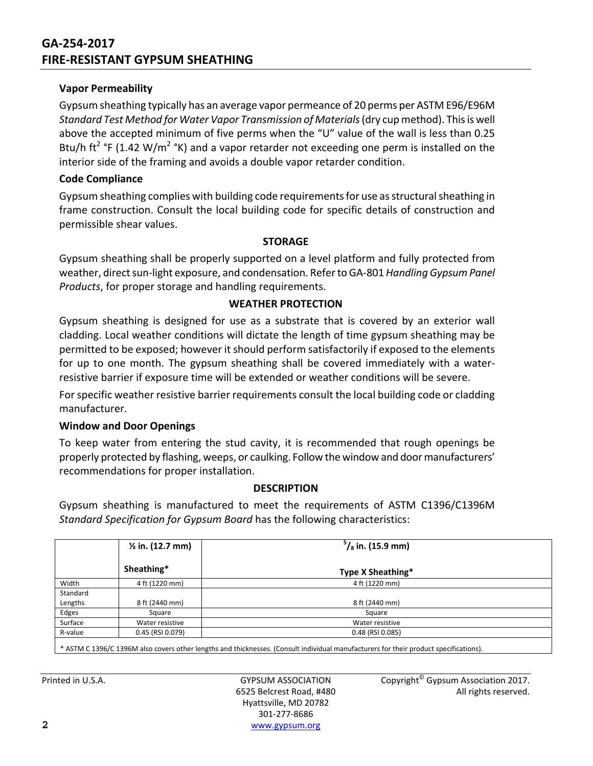## **GA‐254‐2017 FIRE‐RESISTANT GYPSUM SHEATHING**

#### **Vapor Permeability**

Gypsum sheathing typically has an average vapor permeance of 20 perms per ASTM E96/E96M *Standard Test Method for Water Vapor Transmission of Materials*(dry cup method). Thisis well above the accepted minimum of five perms when the "U" value of the wall is less than 0.25 Btu/h ft<sup>2</sup> °F (1.42 W/m<sup>2</sup> °K) and a vapor retarder not exceeding one perm is installed on the interior side of the framing and avoids a double vapor retarder condition.

#### **Code Compliance**

Gypsum sheathing complies with building code requirements for use as structural sheathing in frame construction. Consult the local building code for specific details of construction and permissible shear values.

#### **STORAGE**

Gypsum sheathing shall be properly supported on a level platform and fully protected from weather, direct sun-light exposure, and condensation. Refer to GA-801 *Handling Gypsum Panel Products*, for proper storage and handling requirements.

#### **WEATHER PROTECTION**

Gypsum sheathing is designed for use as a substrate that is covered by an exterior wall cladding. Local weather conditions will dictate the length of time gypsum sheathing may be permitted to be exposed; however it should perform satisfactorily if exposed to the elements for up to one month. The gypsum sheathing shall be covered immediately with a water‐ resistive barrier if exposure time will be extended or weather conditions will be severe.

For specific weather resistive barrier requirements consult the local building code or cladding manufacturer.

#### **Window and Door Openings**

To keep water from entering the stud cavity, it is recommended that rough openings be properly protected by flashing, weeps, or caulking. Follow the window and door manufacturers' recommendations for proper installation.

#### **DESCRIPTION**

Gypsum sheathing is manufactured to meet the requirements of ASTM C1396/C1396M *Standard Specification for Gypsum Board* has the following characteristics:

|                                                                                                                                       | $\frac{1}{2}$ in. (12.7 mm) | $\frac{5}{8}$ in. (15.9 mm) |
|---------------------------------------------------------------------------------------------------------------------------------------|-----------------------------|-----------------------------|
|                                                                                                                                       | Sheathing*                  | Type X Sheathing*           |
| Width                                                                                                                                 | 4 ft (1220 mm)              | 4 ft (1220 mm)              |
| Standard                                                                                                                              |                             |                             |
| Lengths                                                                                                                               | 8 ft (2440 mm)              | 8 ft (2440 mm)              |
| Edges                                                                                                                                 | Square                      | Square                      |
| Surface                                                                                                                               | Water resistive             | Water resistive             |
| R-value                                                                                                                               | 0.45 (RSI 0.079)            | 0.48 (RSI 0.085)            |
| * ASTM C 1396/C 1396M also covers other lengths and thicknesses. (Consult individual manufacturers for their product specifications). |                             |                             |

Hyattsville, MD 20782 301‐277‐8686 **2** www.gypsum.org

Printed in U.S.A. **Example 2017** GYPSUM ASSOCIATION Copyright<sup>©</sup> Gypsum Association 2017. 6525 Belcrest Road, #480 All rights reserved.